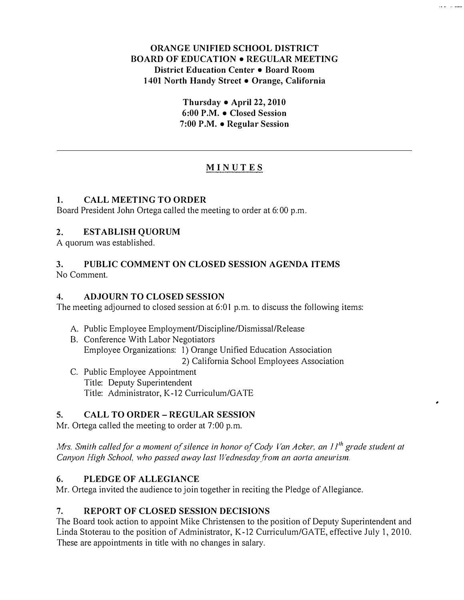## ORANGE UNIFIED SCHOOL DISTRICT BOARD OF EDUCATION • REGULAR MEETING District Education Center • Board Room 1401 North Handy Street • Orange, California

Thursday • April 22, 2010 6:00 P.M. • Closed Session 7:00 P.M. • Regular Session

# MINUTES

### 1. CALL MEETING TO ORDER

Board President John Ortega called the meeting to order at 6:00 p.m.

#### 2. ESTABLISH QUORUM

A quorum was established.

#### 3. PUBLIC COMMENT ON CLOSED SESSION AGENDA ITEMS No Comment.

### 4. ADJOURN TO CLOSED SESSION

The meeting adjourned to closed session at 6:01 p.m. to discuss the following items:

- A. Public Employee Employment/Discipline/Dismissal/Release
- B. Conference With Labor Negotiators Employee Organizations: 1) Orange Unified Education Association 2) California School Employees Association
- C. Public Employee Appointment Title: Deputy Superintendent Title: Administrator, K-12 Curriculum/GATE

## 5. CALL TO ORDER- REGULAR SESSION

Mr. Ortega called the meeting to order at 7:00 p.m.

Mrs. Smith called for a moment of silence in honor of Cody Van Acker, an  $II<sup>th</sup>$  grade student at Canyon High School, who passed away last Wednesday from an aorta aneurism.

### 6. PLEDGE OF ALLEGIANCE

Mr. Ortega invited the audience to join together in reciting the Pledge of Allegiance.

### 7. REPORT OF CLOSED SESSION DECISIONS

The Board took action to appoint Mike Christensen to the position of Deputy Superintendent and Linda Stoterau to the position of Administrator, K-12 Curriculum/GATE, effective July I, 2010. These are appointments in title with no changes in salary.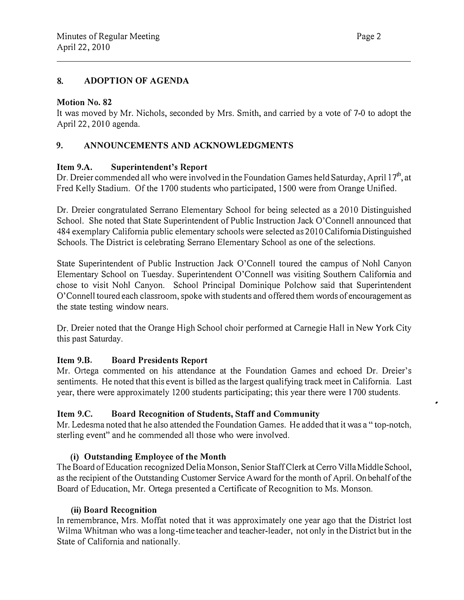### 8. ADOPTION OF AGENDA

#### Motion No. 82

It was moved by Mr. Nichols, seconded by Mrs. Smith, and carried by a vote of 7-0 to adopt the April 22, 2010 agenda.

## 9. ANNOUNCEMENTS AND ACKNOWLEDGMENTS

#### Item 9.A. Superintendent's Report

Dr. Dreier commended all who were involved in the Foundation Games held Saturday, April 17<sup>th</sup>, at Fred Kelly Stadium. Of the 1700 students who participated, 1500 were from Orange Unified.

Dr. Dreier congratulated Serrano Elementary School for being selected as a 2010 Distinguished School. She noted that State Superintendent of Public Instruction Jack O'Connell announced that 484 exemplary California public elementary schools were selected as 20 I 0 California Distinguished Schools. The District is celebrating Serrano Elementary School as one of the selections.

State Superintendent of Public Instruction Jack O'Connell toured the campus of Noh! Canyon Elementary School on Tuesday. Superintendent O'Connell was visiting Southern California and chose to visit Noh! Canyon. School Principal Dominique Polchow said that Superintendent O'Connell toured each classroom, spoke with students and offered them words of encouragement as the state testing window nears.

Dr. Dreier noted that the Orange High School choir performed at Carnegie Hall in New York City this past Saturday.

### Item 9.B. Board Presidents Report

Mr. Ortega commented on his attendance at the Foundation Games and echoed Dr. Dreier's sentiments. He noted that this event is billed as the largest qualifying track meet in California. Last year, there were approximately 1200 students participating; this year there were 1700 students.

### Item 9.C. Board Recognition of Students, Staff and Community

Mr. Ledesma noted that he also attended the Foundation Games. He added that it was a" top-notch, sterling event" and he commended all those who were involved.

### (i) Outstanding Employee of the Month

The Board of Education recognized Delia Monson, Senior Staff Clerk at Cerro Villa Middle School, as the recipient of the Outstanding Customer Service Award for the month of April. On behalf of the Board of Education, Mr. Ortega presented a Certificate of Recognition to Ms. Monson.

#### (ii) Board Recognition

In remembrance, Mrs. Moffat noted that it was approximately one year ago that the District lost Wilma Whitman who was a long-time teacher and teacher-leader, not only in the District but in the State of California and nationally.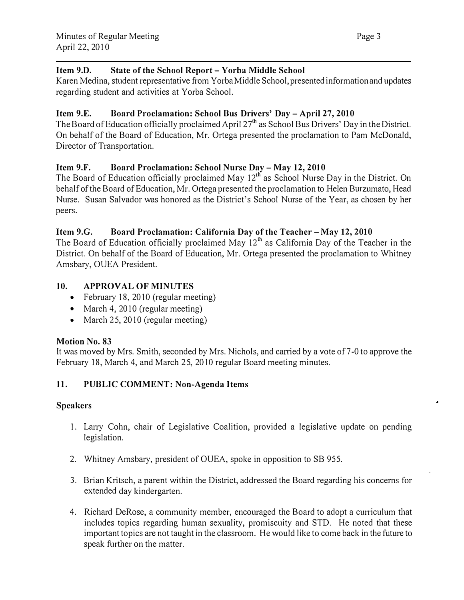## Item 9.D. State of the School Report- Yorba Middle School

Karen Medina, student representative from Yorba Middle School, presented information and updates regarding student and activities at Yorba School.

## Item 9.E. Board Proclamation: School Bus Drivers' Day- April 27, 2010

The Board of Education officially proclaimed April 27'h as School Bus Drivers' Day in the District. On behalf of the Board of Education, Mr. Ortega presented the proclamation to Pam McDonald, Director of Transportation.

## Item 9.F. Board Proclamation: School Nurse Day- May 12, 2010

The Board of Education officially proclaimed May 12<sup>th</sup> as School Nurse Day in the District. On behalf of the Board of Education, Mr. Ortega presented the proclamation to Helen Burzumato, Head Nurse. Susan Salvador was honored as the District's School Nurse of the Year, as chosen by her peers.

## Item 9.G. Board Proclamation: California Day of the Teacher- May 12, 2010

The Board of Education officially proclaimed May  $12<sup>th</sup>$  as California Day of the Teacher in the District. On behalf of the Board of Education, Mr. Ortega presented the proclamation to Whitney Amsbary, OUEA President.

## 10. APPROVAL OF MINUTES

- February 18, 2010 (regular meeting)
- March 4, 2010 (regular meeting)
- March 25, 2010 (regular meeting)

### Motion No. 83

It was moved by Mrs. Smith, seconded by Mrs. Nichols, and carried by a vote of 7-0 to approve the February 18, March 4, and March 25, 2010 regular Board meeting minutes.

### 11. PUBLIC COMMENT: Non-Agenda Items

### Speakers

- 1. Larry Cohn, chair of Legislative Coalition, provided a legislative update on pending legislation.
- 2. Whitney Amsbary, president of OUEA, spoke in opposition to SB 955.
- 3. Brian Kritsch, a parent within the District, addressed the Board regarding his concerns for extended day kindergarten.
- 4. Richard DeRose, a community member, encouraged the Board to adopt a curriculum that includes topics regarding human sexuality, promiscuity and STD. He noted that these important topics are not taught in the classroom. He would like to come back in the future to speak further on the matter.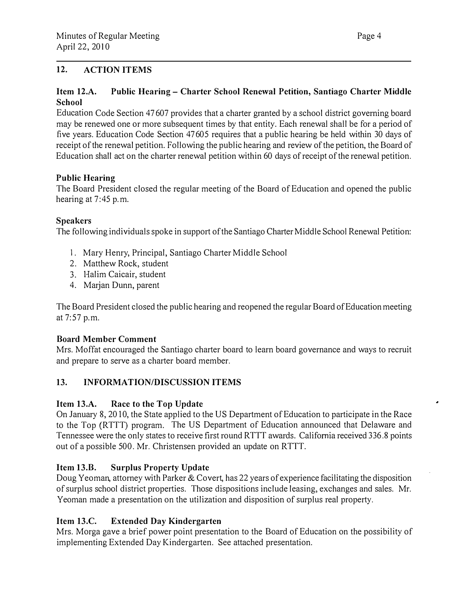## 12. ACTION ITEMS

#### Item 12.A. School Public Hearing- Charter School Renewal Petition, Santiago Charter Middle

Education Code Section 47607 provides that a charter granted by a school district governing board may be renewed one or more subsequent times by that entity. Each renewal shall be for a period of five years. Education Code Section 47605 requires that a public hearing be held within 30 days of receipt of the renewal petition. Following the public hearing and review of the petition, the Board of Education shall act on the charter renewal petition within 60 days of receipt of the renewal petition.

### Public Hearing

The Board President closed the regular meeting of the Board of Education and opened the public hearing at 7:45 p.m.

### Speakers

The following individuals spoke in support of the Santiago Charter Middle School Renewal Petition:

- I. Mary Henry, Principal, Santiago Charter Middle School
- 2. Matthew Rock, student
- 3. Halim Caicair, student
- 4. Marjan Dunn, parent

The Board President closed the public hearing and reopened the regular Board of Education meeting at  $7:57$  p.m.

### Board Member Comment

Mrs. Moffat encouraged the Santiago charter board to learn board governance and ways to recruit and prepare to serve as a charter board member.

## 13. INFORMATION/DISCUSSION ITEMS

### Item 13.A. Race to the Top Update

On January 8, 2010, the State applied to the US Department of Education to participate in the Race to the Top (RTTT) program. The US Department of Education announced that Delaware and Tennessee were the only states to receive first round RTTT awards. California received 336.8 points out of a possible 500. Mr. Christensen provided an update on RTTT.

## Item 13.B. Surplus Property Update

Doug Yeoman, attorney with Parker & Covert, has 22 years of experience facilitating the disposition of surplus school district properties. Those dispositions include leasing, exchanges and sales. Mr. Yeoman made a presentation on the utilization and disposition of surplus real property.

### Item 13.C. Extended Day Kindergarten

Mrs. Morga gave a brief power point presentation to the Board of Education on the possibility of implementing Extended Day Kindergarten. See attached presentation.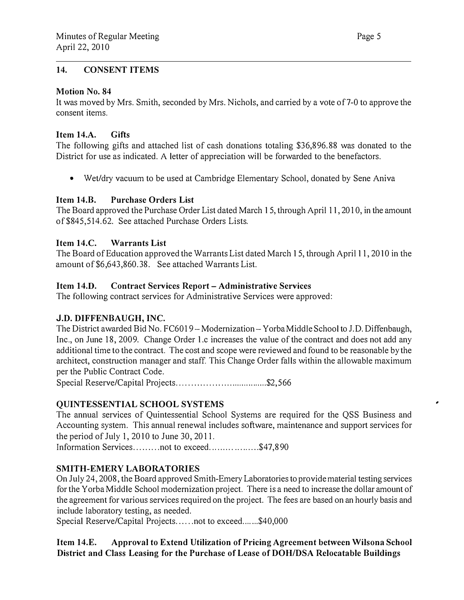#### 14. CONSENT ITEMS

#### Motion No. 84

It was moved by Mrs. Smith, seconded by Mrs. Nichols, and carried by a vote of 7-0 to approve the consent items.

#### Item 14.A. Gifts

The following gifts and attached list of cash donations totaling \$36,896.88 was donated to the District for use as indicated. A letter of appreciation will be forwarded to the benefactors.

• Wet/dry vacuum to be used at Cambridge Elementary School, donated by Sene Aniva

#### Item 14.B. Purchase Orders List

The Board approved the Purchase Order List dated March 15, through April 11, 201 0, in the amount of\$845,514.62. See attached Purchase Orders Lists.

#### Item 14.C. Warrants List

The Board of Education approved the Warrants List dated March 15, through April 11, 2010 in the amount of \$6,643,860.38. See attached Warrants List.

#### Item 14.0. Contract Services Report- Administrative Services

The following contract services for Administrative Services were approved:

### J.D. DIFFENBAUGH, INC.

The District awarded Bid No. FC6019 - Modernization - Yorba Middle School to J.D. Diffenbaugh, Inc., on June 18, 2009. Change Order l.c increases the value of the contract and does not add any additional time to the contract. The cost and scope were reviewed and found to be reasonable by the architect, construction manager and staff. This Change Order falls within the allowable maximum per the Public Contract Code.

Special Reserve/Capital Projects . .. ............................... \$2,5 66

### QUINTESSENTIAL SCHOOL SYSTEMS

The annual services of Quintessential School Systems are required for the QSS Business and Accounting system. This annual renewal includes software, maintenance and support services for the period of July 1, 2010 to June 30, 2011.

Information Services.......... not to exceed........................\$47.890

### SMITH-EMERY LABORATORIES

On July 24, 2008, the Board approved Smith-Emery Laboratories to provide material testing services for the Yorba Middle School modernization project. There is a need to increase the dollar amount of the agreement for various services required on the project. The fees are based on an hourly basis and include laboratory testing, as needed.

Special Reserve/Capital Projects......not to exceed.......\$40,000

### Item 14.E. Approval to Extend Utilization of Pricing Agreement between Wilsona School District and Class Leasing for the Purchase of Lease of DOH/DSA Relocatable Buildings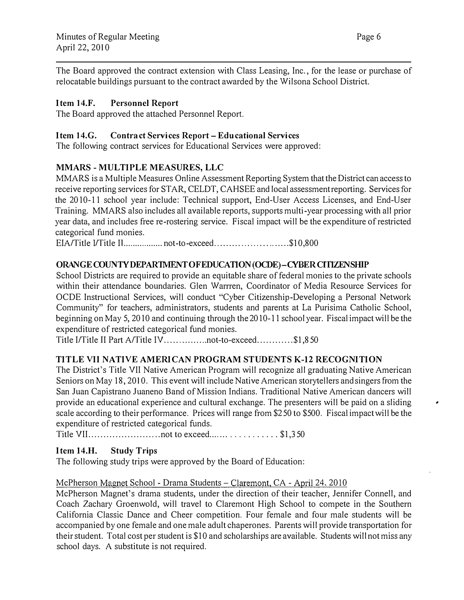The Board approved the contract extension with Class Leasing, Inc., for the lease or purchase of relocatable buildings pursuant to the contract awarded by the Wilsona School District.

## Item 14.F. Personnel Report

The Board approved the attached Personnel Report.

## Item 14.G. Contract Services Report- Educational Services

The following contract services for Educational Services were approved:

## MMARS - MULTIPLE MEASURES, LLC

MMARS is a Multiple Measures Online Assessment Reporting System that the District can access to receive reporting services for STAR, CELDT, CAHSEE and local assessment reporting. Services for the 2010-11 school year include: Technical support, End-User Access Licenses, and End-User Training. MMARS also includes all available reports, supports multi-year processing with all prior year data, and includes free re-rostering service. Fiscal impact will be the expenditure of restricted categorical fund monies.

EIA/Title I/Title II................... not-to-exceed............................\$10,800

## ORANGE COUNTY DEPARTMENT OF EDUCATION (OCDE)-CYBER CITIZENSHIP

School Districts are required to provide an equitable share of federal monies to the private schools within their attendance boundaries. Glen Warrren, Coordinator of Media Resource Services for OCDE Instructional Services, will conduct "Cyber Citizenship-Developing a Personal Network Community" for teachers, administrators, students and parents at La Purisima Catholic School, beginning on May 5, 2010 and continuing through the 2010-11 school year. Fiscal impact will be the expenditure of restricted categorical fund monies.

Title I/Title II Part A/Title IV ...............not-to-exceed............\$1,850

# TITLE VII NATIVE AMERICAN PROGRAM STUDENTS K-12 RECOGNITION

The District's Title VII Native American Program will recognize all graduating Native American Seniors on May 18, 2010. This event will include Native American storytellers and singers from the San Juan Capistrano Juaneno Band of Mission Indians. Traditional Native American dancers will provide an educational experience and cultural exchange. The presenters will be paid on a sliding scale according to their performance. Prices will range from \$250 to \$500. Fiscal impact will be the expenditure of restricted categorical funds.

Title VII ........................ not to exceed .... ... . . . . . . ..... \$1,350

## Item 14.H. Study Trips

The following study trips were approved by the Board of Education:

### McPherson Magnet School - Drama Students - Claremont, CA - April 24, 2010

McPherson Magnet's drama students, under the direction of their teacher, Jennifer Connell, and Coach Zachary Groenwold, will travel to Claremont High School to compete in the Southern California Classic Dance and Cheer competition. Four female and four male students will be accompanied by one female and one male adult chaperones. Parents will provide transportation for their student. Total cost per student is \$10 and scholarships are available. Students will not miss any school days. A substitute is not required.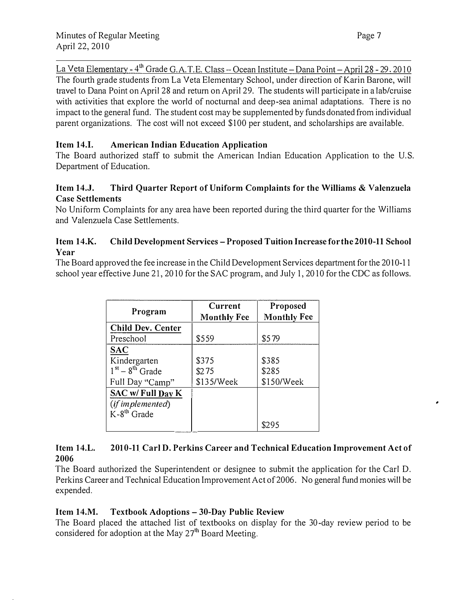La Veta Elementary - 4<sup>th</sup> Grade G.A.T.E. Class - Ocean Institute - Dana Point - April 28 - 29, 2010 The fourth grade students from La Veta Elementary School, under direction of Karin Barone, will travel to Dana Point on April 28 and return on April 29. The students will participate in a lab/cruise with activities that explore the world of nocturnal and deep-sea animal adaptations. There is no impact to the general fund. The student cost may be supplemented by funds donated from individual parent organizations. The cost will not exceed \$100 per student, and scholarships are available.

## Item 14.1. American Indian Education Application

The Board authorized staff to submit the American Indian Education Application to the U.S. Department of Education.

## Item 14.J. Third Quarter Report of Uniform Complaints for the Williams & Valenzuela Case Settlements

No Uniform Complaints for any area have been reported during the third quarter for the Williams and Valenzuela Case Settlements.

## Item 14.K. Child Development Services- Proposed Tuition Increase for the 2010-11 School Year

The Board approved the fee increase in the Child Development Services department for the 2010-11 school year effective June 21, 2010 for the SAC program, and July 1, 2010 for the CDC as follows.

| Program                  | Current<br><b>Monthly Fee</b> | Proposed<br><b>Monthly Fee</b> |
|--------------------------|-------------------------------|--------------------------------|
| <b>Child Dev. Center</b> |                               |                                |
| Preschool                | \$559                         | \$579                          |
| <b>SAC</b>               |                               |                                |
| Kindergarten             | \$375                         | \$385                          |
| $1st - 8th$ Grade        | \$275                         | \$285                          |
| Full Day "Camp"          | \$135/Week                    | \$150/Week                     |
| SAC w/ Full Day K        |                               |                                |
| (if implemented)         |                               |                                |
| $K - 8^{th}$ Grade       |                               |                                |
|                          |                               | 8295                           |

#### Item 14.L. 2006 2010-11 Carl D. Perkins Career and Technical Education Improvement Act of

The Board authorized the Superintendent or designee to submit the application for the Carl D. Perkins Career and Teclmical Education Improvement Act of 2006. No general fund monies will be expended.

## Item 14.M. Textbook Adoptions- 30-Day Public Review

The Board placed the attached list of textbooks on display for the 30-day review period to be considered for adoption at the May  $27<sup>th</sup>$  Board Meeting.